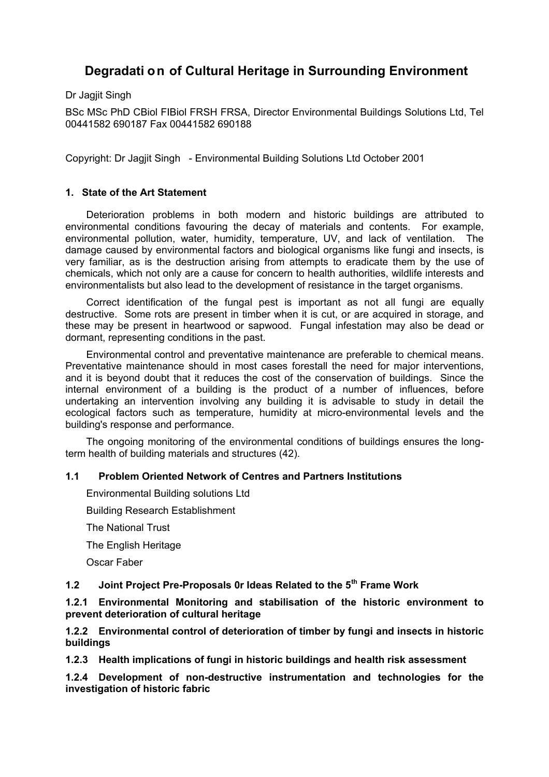# **Degradati on of Cultural Heritage in Surrounding Environment**

Dr Jagjit Singh

BSc MSc PhD CBiol FIBiol FRSH FRSA, Director Environmental Buildings Solutions Ltd, Tel 00441582 690187 Fax 00441582 690188

Copyright: Dr Jagjit Singh - Environmental Building Solutions Ltd October 2001

# **1. State of the Art Statement**

Deterioration problems in both modern and historic buildings are attributed to environmental conditions favouring the decay of materials and contents. For example, environmental pollution, water, humidity, temperature, UV, and lack of ventilation. The damage caused by environmental factors and biological organisms like fungi and insects, is very familiar, as is the destruction arising from attempts to eradicate them by the use of chemicals, which not only are a cause for concern to health authorities, wildlife interests and environmentalists but also lead to the development of resistance in the target organisms.

Correct identification of the fungal pest is important as not all fungi are equally destructive. Some rots are present in timber when it is cut, or are acquired in storage, and these may be present in heartwood or sapwood. Fungal infestation may also be dead or dormant, representing conditions in the past.

Environmental control and preventative maintenance are preferable to chemical means. Preventative maintenance should in most cases forestall the need for major interventions, and it is beyond doubt that it reduces the cost of the conservation of buildings. Since the internal environment of a building is the product of a number of influences, before undertaking an intervention involving any building it is advisable to study in detail the ecological factors such as temperature, humidity at micro-environmental levels and the building's response and performance.

The ongoing monitoring of the environmental conditions of buildings ensures the longterm health of building materials and structures (42).

# **1.1 Problem Oriented Network of Centres and Partners Institutions**

Environmental Building solutions Ltd

Building Research Establishment

The National Trust

The English Heritage

Oscar Faber

# **1.2 Joint Project Pre-Proposals 0r Ideas Related to the 5th Frame Work**

**1.2.1 Environmental Monitoring and stabilisation of the historic environment to prevent deterioration of cultural heritage**

**1.2.2 Environmental control of deterioration of timber by fungi and insects in historic buildings**

**1.2.3 Health implications of fungi in historic buildings and health risk assessment**

**1.2.4 Development of non-destructive instrumentation and technologies for the investigation of historic fabric**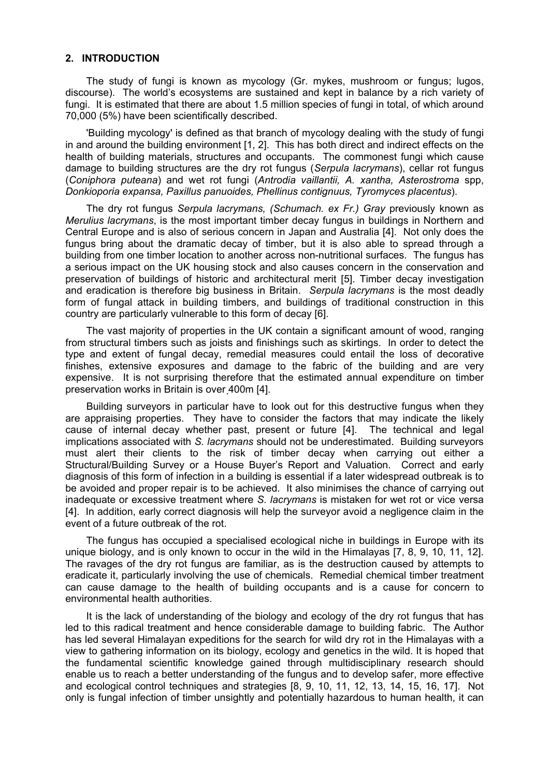### **2. INTRODUCTION**

The study of fungi is known as mycology (Gr. mykes, mushroom or fungus; lugos, discourse). The world's ecosystems are sustained and kept in balance by a rich variety of fungi. It is estimated that there are about 1.5 million species of fungi in total, of which around 70,000 (5%) have been scientifically described.

'Building mycology' is defined as that branch of mycology dealing with the study of fungi in and around the building environment [1, 2]. This has both direct and indirect effects on the health of building materials, structures and occupants. The commonest fungi which cause damage to building structures are the dry rot fungus (*Serpula lacrymans*), cellar rot fungus (*Coniphora puteana*) and wet rot fungi (*Antrodia vaillantii, A. xantha, Asterostroma* spp, *Donkioporia expansa, Paxillus panuoides, Phellinus contignuus, Tyromyces placentus*).

The dry rot fungus *Serpula lacrymans, (Schumach. ex Fr.) Gray* previously known as *Merulius lacrymans*, is the most important timber decay fungus in buildings in Northern and Central Europe and is also of serious concern in Japan and Australia [4]. Not only does the fungus bring about the dramatic decay of timber, but it is also able to spread through a building from one timber location to another across non-nutritional surfaces. The fungus has a serious impact on the UK housing stock and also causes concern in the conservation and preservation of buildings of historic and architectural merit [5]. Timber decay investigation and eradication is therefore big business in Britain. *Serpula lacrymans* is the most deadly form of fungal attack in building timbers, and buildings of traditional construction in this country are particularly vulnerable to this form of decay [6].

The vast majority of properties in the UK contain a significant amount of wood, ranging from structural timbers such as joists and finishings such as skirtings. In order to detect the type and extent of fungal decay, remedial measures could entail the loss of decorative finishes, extensive exposures and damage to the fabric of the building and are very expensive. It is not surprising therefore that the estimated annual expenditure on timber preservation works in Britain is over 400m [4].

Building surveyors in particular have to look out for this destructive fungus when they are appraising properties. They have to consider the factors that may indicate the likely cause of internal decay whether past, present or future [4]. The technical and legal implications associated with *S. lacrymans* should not be underestimated. Building surveyors must alert their clients to the risk of timber decay when carrying out either a Structural/Building Survey or a House Buyer's Report and Valuation. Correct and early diagnosis of this form of infection in a building is essential if a later widespread outbreak is to be avoided and proper repair is to be achieved. It also minimises the chance of carrying out inadequate or excessive treatment where *S. lacrymans* is mistaken for wet rot or vice versa [4]. In addition, early correct diagnosis will help the surveyor avoid a negligence claim in the event of a future outbreak of the rot.

The fungus has occupied a specialised ecological niche in buildings in Europe with its unique biology, and is only known to occur in the wild in the Himalayas [7, 8, 9, 10, 11, 12]. The ravages of the dry rot fungus are familiar, as is the destruction caused by attempts to eradicate it, particularly involving the use of chemicals. Remedial chemical timber treatment can cause damage to the health of building occupants and is a cause for concern to environmental health authorities.

It is the lack of understanding of the biology and ecology of the dry rot fungus that has led to this radical treatment and hence considerable damage to building fabric. The Author has led several Himalayan expeditions for the search for wild dry rot in the Himalayas with a view to gathering information on its biology, ecology and genetics in the wild. It is hoped that the fundamental scientific knowledge gained through multidisciplinary research should enable us to reach a better understanding of the fungus and to develop safer, more effective and ecological control techniques and strategies [8, 9, 10, 11, 12, 13, 14, 15, 16, 17]. Not only is fungal infection of timber unsightly and potentially hazardous to human health, it can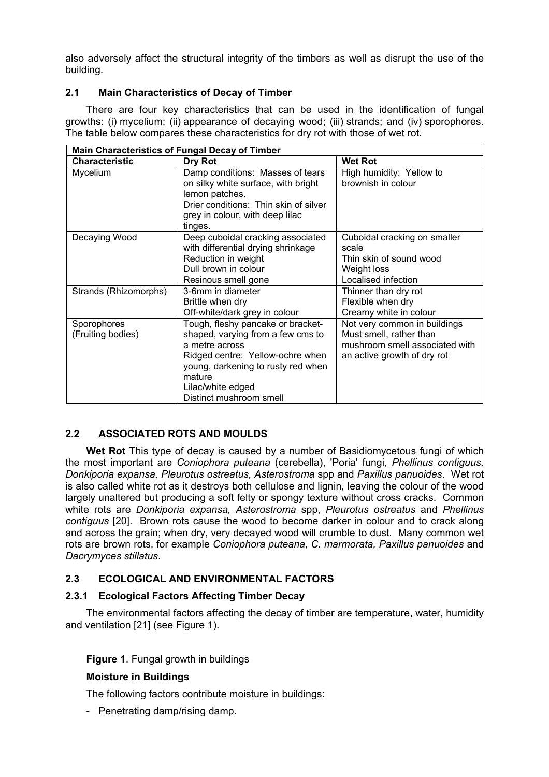also adversely affect the structural integrity of the timbers as well as disrupt the use of the building.

# **2.1 Main Characteristics of Decay of Timber**

There are four key characteristics that can be used in the identification of fungal growths: (i) mycelium; (ii) appearance of decaying wood; (iii) strands; and (iv) sporophores. The table below compares these characteristics for dry rot with those of wet rot.

| <b>Main Characteristics of Fungal Decay of Timber</b> |                                                                                                                                                                                                                              |                                                                                                                          |  |  |
|-------------------------------------------------------|------------------------------------------------------------------------------------------------------------------------------------------------------------------------------------------------------------------------------|--------------------------------------------------------------------------------------------------------------------------|--|--|
| <b>Characteristic</b>                                 | Dry Rot                                                                                                                                                                                                                      | <b>Wet Rot</b>                                                                                                           |  |  |
| Mycelium                                              | Damp conditions: Masses of tears<br>on silky white surface, with bright<br>lemon patches.<br>Drier conditions: Thin skin of silver<br>grey in colour, with deep lilac<br>tinges.                                             | High humidity: Yellow to<br>brownish in colour                                                                           |  |  |
| Decaying Wood                                         | Deep cuboidal cracking associated<br>with differential drying shrinkage<br>Reduction in weight<br>Dull brown in colour<br>Resinous smell gone                                                                                | Cuboidal cracking on smaller<br>scale<br>Thin skin of sound wood<br>Weight loss<br>Localised infection                   |  |  |
| Strands (Rhizomorphs)                                 | 3-6mm in diameter<br>Brittle when dry<br>Off-white/dark grey in colour                                                                                                                                                       | Thinner than dry rot<br>Flexible when dry<br>Creamy white in colour                                                      |  |  |
| Sporophores<br>(Fruiting bodies)                      | Tough, fleshy pancake or bracket-<br>shaped, varying from a few cms to<br>a metre across<br>Ridged centre: Yellow-ochre when<br>young, darkening to rusty red when<br>mature<br>Lilac/white edged<br>Distinct mushroom smell | Not very common in buildings<br>Must smell, rather than<br>mushroom smell associated with<br>an active growth of dry rot |  |  |

# **2.2 ASSOCIATED ROTS AND MOULDS**

**Wet Rot** This type of decay is caused by a number of Basidiomycetous fungi of which the most important are *Coniophora puteana* (cerebella), 'Poria' fungi, *Phellinus contiguus, Donkiporia expansa, Pleurotus ostreatus, Asterostroma* spp and *Paxillus panuoides*. Wet rot is also called white rot as it destroys both cellulose and lignin, leaving the colour of the wood largely unaltered but producing a soft felty or spongy texture without cross cracks. Common white rots are *Donkiporia expansa, Asterostroma* spp, *Pleurotus ostreatus* and *Phellinus contiguus* [20]. Brown rots cause the wood to become darker in colour and to crack along and across the grain; when dry, very decayed wood will crumble to dust. Many common wet rots are brown rots, for example *Coniophora puteana, C. marmorata, Paxillus panuoides* and *Dacrymyces stillatus*.

# **2.3 ECOLOGICAL AND ENVIRONMENTAL FACTORS**

# **2.3.1 Ecological Factors Affecting Timber Decay**

The environmental factors affecting the decay of timber are temperature, water, humidity and ventilation [21] (see Figure 1).

# **Figure 1**. Fungal growth in buildings

# **Moisture in Buildings**

The following factors contribute moisture in buildings:

- Penetrating damp/rising damp.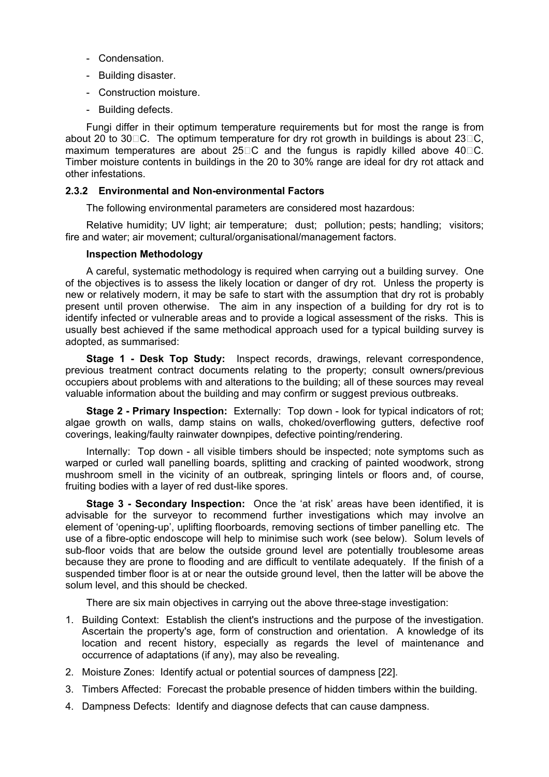- Condensation.
- Building disaster.
- Construction moisture.
- Building defects.

Fungi differ in their optimum temperature requirements but for most the range is from about 20 to 30 $\Box$ C. The optimum temperature for dry rot growth in buildings is about 23 $\Box$ C. maximum temperatures are about  $25\degree$ C and the fungus is rapidly killed above 40 $\degree$ C. Timber moisture contents in buildings in the 20 to 30% range are ideal for dry rot attack and other infestations.

#### **2.3.2 Environmental and Non-environmental Factors**

The following environmental parameters are considered most hazardous:

Relative humidity; UV light; air temperature; dust; pollution; pests; handling; visitors; fire and water; air movement; cultural/organisational/management factors.

#### **Inspection Methodology**

A careful, systematic methodology is required when carrying out a building survey. One of the objectives is to assess the likely location or danger of dry rot. Unless the property is new or relatively modern, it may be safe to start with the assumption that dry rot is probably present until proven otherwise. The aim in any inspection of a building for dry rot is to identify infected or vulnerable areas and to provide a logical assessment of the risks. This is usually best achieved if the same methodical approach used for a typical building survey is adopted, as summarised:

**Stage 1 - Desk Top Study:** Inspect records, drawings, relevant correspondence, previous treatment contract documents relating to the property; consult owners/previous occupiers about problems with and alterations to the building; all of these sources may reveal valuable information about the building and may confirm or suggest previous outbreaks.

**Stage 2 - Primary Inspection:** Externally: Top down - look for typical indicators of rot; algae growth on walls, damp stains on walls, choked/overflowing gutters, defective roof coverings, leaking/faulty rainwater downpipes, defective pointing/rendering.

Internally: Top down - all visible timbers should be inspected; note symptoms such as warped or curled wall panelling boards, splitting and cracking of painted woodwork, strong mushroom smell in the vicinity of an outbreak, springing lintels or floors and, of course, fruiting bodies with a layer of red dust-like spores.

**Stage 3 - Secondary Inspection:** Once the 'at risk' areas have been identified, it is advisable for the surveyor to recommend further investigations which may involve an element of 'opening-up', uplifting floorboards, removing sections of timber panelling etc. The use of a fibre-optic endoscope will help to minimise such work (see below). Solum levels of sub-floor voids that are below the outside ground level are potentially troublesome areas because they are prone to flooding and are difficult to ventilate adequately. If the finish of a suspended timber floor is at or near the outside ground level, then the latter will be above the solum level, and this should be checked.

There are six main objectives in carrying out the above three-stage investigation:

- 1. Building Context: Establish the client's instructions and the purpose of the investigation. Ascertain the property's age, form of construction and orientation. A knowledge of its location and recent history, especially as regards the level of maintenance and occurrence of adaptations (if any), may also be revealing.
- 2. Moisture Zones: Identify actual or potential sources of dampness [22].
- 3. Timbers Affected: Forecast the probable presence of hidden timbers within the building.
- 4. Dampness Defects: Identify and diagnose defects that can cause dampness.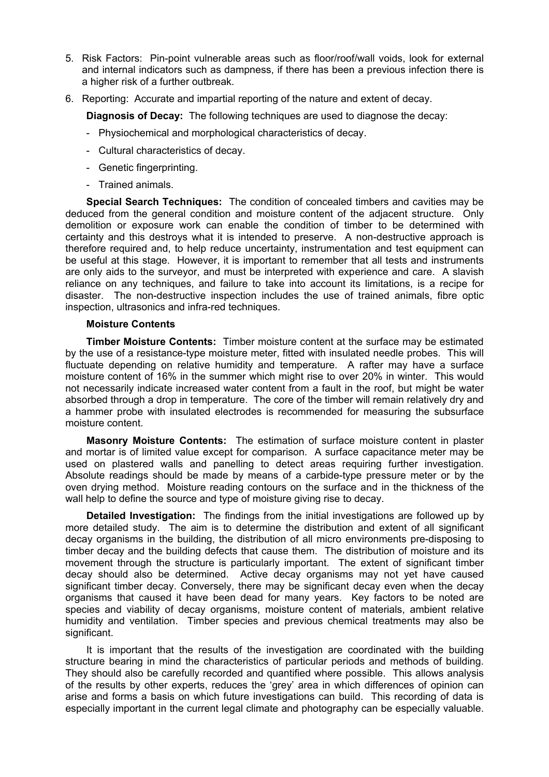- 5. Risk Factors: Pin-point vulnerable areas such as floor/roof/wall voids, look for external and internal indicators such as dampness, if there has been a previous infection there is a higher risk of a further outbreak.
- 6. Reporting: Accurate and impartial reporting of the nature and extent of decay.

**Diagnosis of Decay:** The following techniques are used to diagnose the decay:

- Physiochemical and morphological characteristics of decay.
- Cultural characteristics of decay.
- Genetic fingerprinting.
- Trained animals.

**Special Search Techniques:** The condition of concealed timbers and cavities may be deduced from the general condition and moisture content of the adjacent structure. Only demolition or exposure work can enable the condition of timber to be determined with certainty and this destroys what it is intended to preserve. A non-destructive approach is therefore required and, to help reduce uncertainty, instrumentation and test equipment can be useful at this stage. However, it is important to remember that all tests and instruments are only aids to the surveyor, and must be interpreted with experience and care. A slavish reliance on any techniques, and failure to take into account its limitations, is a recipe for disaster. The non-destructive inspection includes the use of trained animals, fibre optic inspection, ultrasonics and infra-red techniques.

#### **Moisture Contents**

**Timber Moisture Contents:** Timber moisture content at the surface may be estimated by the use of a resistance-type moisture meter, fitted with insulated needle probes. This will fluctuate depending on relative humidity and temperature. A rafter may have a surface moisture content of 16% in the summer which might rise to over 20% in winter. This would not necessarily indicate increased water content from a fault in the roof, but might be water absorbed through a drop in temperature. The core of the timber will remain relatively dry and a hammer probe with insulated electrodes is recommended for measuring the subsurface moisture content.

**Masonry Moisture Contents:** The estimation of surface moisture content in plaster and mortar is of limited value except for comparison. A surface capacitance meter may be used on plastered walls and panelling to detect areas requiring further investigation. Absolute readings should be made by means of a carbide-type pressure meter or by the oven drying method. Moisture reading contours on the surface and in the thickness of the wall help to define the source and type of moisture giving rise to decay.

**Detailed Investigation:** The findings from the initial investigations are followed up by more detailed study. The aim is to determine the distribution and extent of all significant decay organisms in the building, the distribution of all micro environments pre-disposing to timber decay and the building defects that cause them. The distribution of moisture and its movement through the structure is particularly important. The extent of significant timber decay should also be determined. Active decay organisms may not yet have caused significant timber decay. Conversely, there may be significant decay even when the decay organisms that caused it have been dead for many years. Key factors to be noted are species and viability of decay organisms, moisture content of materials, ambient relative humidity and ventilation. Timber species and previous chemical treatments may also be significant.

It is important that the results of the investigation are coordinated with the building structure bearing in mind the characteristics of particular periods and methods of building. They should also be carefully recorded and quantified where possible. This allows analysis of the results by other experts, reduces the 'grey' area in which differences of opinion can arise and forms a basis on which future investigations can build. This recording of data is especially important in the current legal climate and photography can be especially valuable.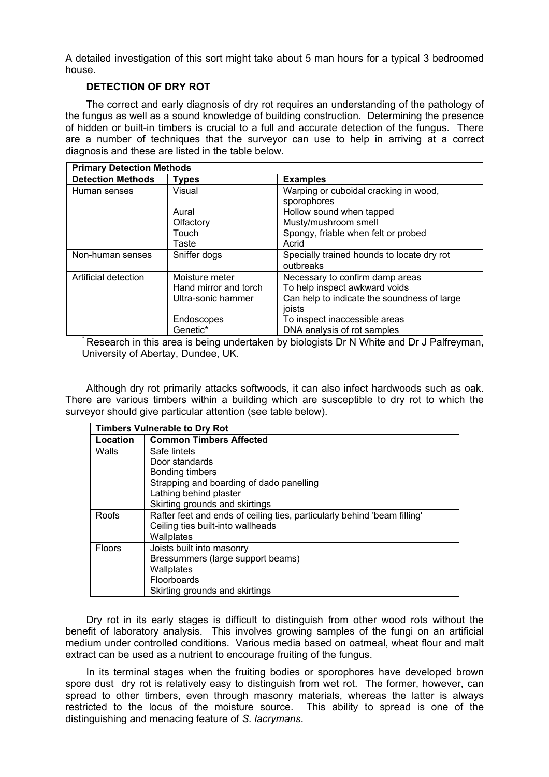A detailed investigation of this sort might take about 5 man hours for a typical 3 bedroomed house.

# **DETECTION OF DRY ROT**

The correct and early diagnosis of dry rot requires an understanding of the pathology of the fungus as well as a sound knowledge of building construction. Determining the presence of hidden or built-in timbers is crucial to a full and accurate detection of the fungus. There are a number of techniques that the surveyor can use to help in arriving at a correct diagnosis and these are listed in the table below.

| <b>Primary Detection Methods</b> |                       |                                                         |  |
|----------------------------------|-----------------------|---------------------------------------------------------|--|
| <b>Detection Methods</b>         | <b>Types</b>          | <b>Examples</b>                                         |  |
| Human senses                     | Visual                | Warping or cuboidal cracking in wood,<br>sporophores    |  |
|                                  | Aural                 | Hollow sound when tapped                                |  |
|                                  | Olfactory             | Musty/mushroom smell                                    |  |
|                                  | Touch                 | Spongy, friable when felt or probed                     |  |
|                                  | Taste                 | Acrid                                                   |  |
| Non-human senses                 | Sniffer dogs          | Specially trained hounds to locate dry rot<br>outbreaks |  |
| Artificial detection             | Moisture meter        | Necessary to confirm damp areas                         |  |
|                                  | Hand mirror and torch | To help inspect awkward voids                           |  |
|                                  | Ultra-sonic hammer    | Can help to indicate the soundness of large             |  |
|                                  |                       | joists                                                  |  |
|                                  | Endoscopes            | To inspect inaccessible areas                           |  |
|                                  | Genetic*              | DNA analysis of rot samples                             |  |

\* Research in this area is being undertaken by biologists Dr N White and Dr J Palfreyman, University of Abertay, Dundee, UK.

Although dry rot primarily attacks softwoods, it can also infect hardwoods such as oak. There are various timbers within a building which are susceptible to dry rot to which the surveyor should give particular attention (see table below).

| <b>Timbers Vulnerable to Dry Rot</b> |                                                                          |  |
|--------------------------------------|--------------------------------------------------------------------------|--|
| Location                             | <b>Common Timbers Affected</b>                                           |  |
| Walls                                | Safe lintels                                                             |  |
|                                      | Door standards                                                           |  |
|                                      | Bonding timbers                                                          |  |
|                                      | Strapping and boarding of dado panelling                                 |  |
|                                      | Lathing behind plaster                                                   |  |
|                                      | Skirting grounds and skirtings                                           |  |
| Roofs                                | Rafter feet and ends of ceiling ties, particularly behind 'beam filling' |  |
|                                      | Ceiling ties built-into wallheads                                        |  |
|                                      | Wallplates                                                               |  |
| <b>Floors</b>                        | Joists built into masonry                                                |  |
|                                      | Bressummers (large support beams)                                        |  |
|                                      | Wallplates                                                               |  |
|                                      | <b>Floorboards</b>                                                       |  |
|                                      | Skirting grounds and skirtings                                           |  |

Dry rot in its early stages is difficult to distinguish from other wood rots without the benefit of laboratory analysis. This involves growing samples of the fungi on an artificial medium under controlled conditions. Various media based on oatmeal, wheat flour and malt extract can be used as a nutrient to encourage fruiting of the fungus.

In its terminal stages when the fruiting bodies or sporophores have developed brown spore dust dry rot is relatively easy to distinguish from wet rot. The former, however, can spread to other timbers, even through masonry materials, whereas the latter is always restricted to the locus of the moisture source. This ability to spread is one of the distinguishing and menacing feature of *S. lacrymans*.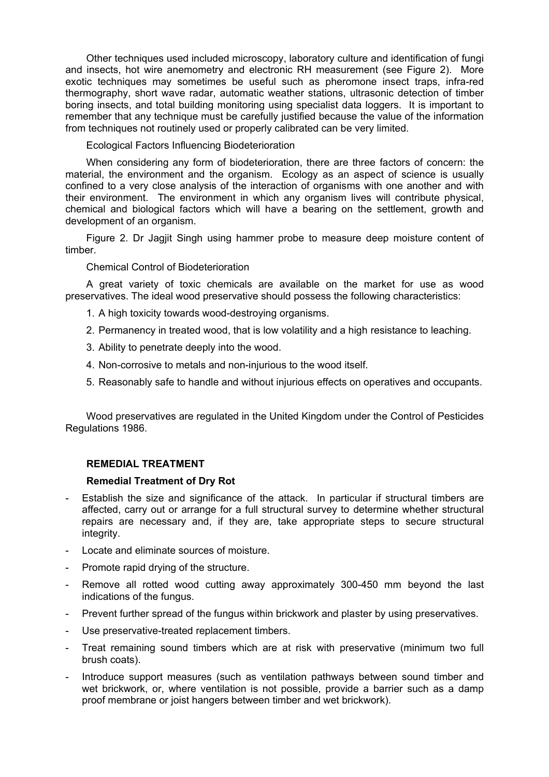Other techniques used included microscopy, laboratory culture and identification of fungi and insects, hot wire anemometry and electronic RH measurement (see Figure 2). More exotic techniques may sometimes be useful such as pheromone insect traps, infra-red thermography, short wave radar, automatic weather stations, ultrasonic detection of timber boring insects, and total building monitoring using specialist data loggers. It is important to remember that any technique must be carefully justified because the value of the information from techniques not routinely used or properly calibrated can be very limited.

Ecological Factors Influencing Biodeterioration

When considering any form of biodeterioration, there are three factors of concern: the material, the environment and the organism. Ecology as an aspect of science is usually confined to a very close analysis of the interaction of organisms with one another and with their environment. The environment in which any organism lives will contribute physical, chemical and biological factors which will have a bearing on the settlement, growth and development of an organism.

Figure 2. Dr Jagjit Singh using hammer probe to measure deep moisture content of timber.

Chemical Control of Biodeterioration

A great variety of toxic chemicals are available on the market for use as wood preservatives. The ideal wood preservative should possess the following characteristics:

1. A high toxicity towards wood-destroying organisms.

- 2. Permanency in treated wood, that is low volatility and a high resistance to leaching.
- 3. Ability to penetrate deeply into the wood.
- 4. Non-corrosive to metals and non-injurious to the wood itself.
- 5. Reasonably safe to handle and without injurious effects on operatives and occupants.

Wood preservatives are regulated in the United Kingdom under the Control of Pesticides Regulations 1986.

# **REMEDIAL TREATMENT**

# **Remedial Treatment of Dry Rot**

- Establish the size and significance of the attack. In particular if structural timbers are affected, carry out or arrange for a full structural survey to determine whether structural repairs are necessary and, if they are, take appropriate steps to secure structural integrity.
- Locate and eliminate sources of moisture.
- Promote rapid drying of the structure.
- Remove all rotted wood cutting away approximately 300-450 mm beyond the last indications of the fungus.
- Prevent further spread of the fungus within brickwork and plaster by using preservatives.
- Use preservative-treated replacement timbers.
- Treat remaining sound timbers which are at risk with preservative (minimum two full brush coats).
- Introduce support measures (such as ventilation pathways between sound timber and wet brickwork, or, where ventilation is not possible, provide a barrier such as a damp proof membrane or joist hangers between timber and wet brickwork).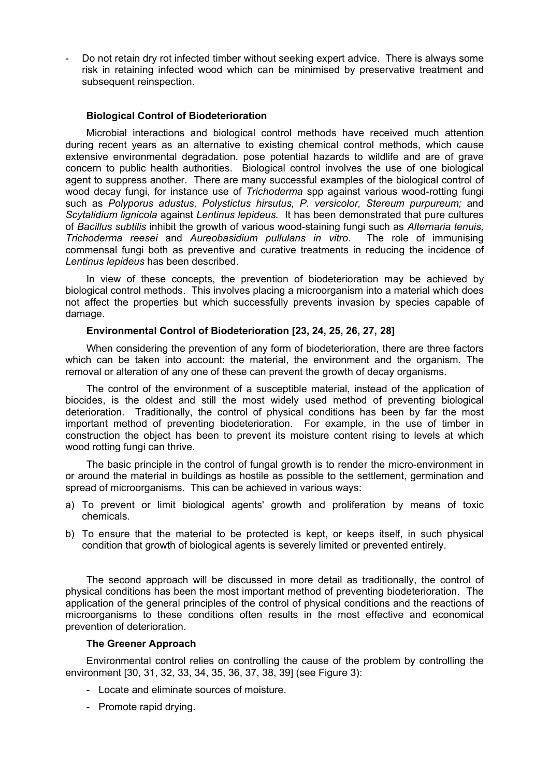- Do not retain dry rot infected timber without seeking expert advice. There is always some risk in retaining infected wood which can be minimised by preservative treatment and subsequent reinspection.

### **Biological Control of Biodeterioration**

Microbial interactions and biological control methods have received much attention during recent years as an alternative to existing chemical control methods, which cause extensive environmental degradation. pose potential hazards to wildlife and are of grave concern to public health authorities. Biological control involves the use of one biological agent to suppress another. There are many successful examples of the biological control of wood decay fungi, for instance use of *Trichoderma* spp against various wood-rotting fungi such as *Polyporus adustus, Polystictus hirsutus, P. versicolor, Stereum purpureum;* and *Scytalidium lignicola* against *Lentinus lepideus.* It has been demonstrated that pure cultures of *Bacillus subtilis* inhibit the growth of various wood-staining fungi such as *Alternaria tenuis, Trichoderma reesei* and *Aureobasidium pullulans in vitro*. The role of immunising commensal fungi both as preventive and curative treatments in reducing the incidence of *Lentinus lepideus* has been described.

In view of these concepts, the prevention of biodeterioration may be achieved by biological control methods. This involves placing a microorganism into a material which does not affect the properties but which successfully prevents invasion by species capable of damage.

### **Environmental Control of Biodeterioration [23, 24, 25, 26, 27, 28]**

When considering the prevention of any form of biodeterioration, there are three factors which can be taken into account: the material, the environment and the organism. The removal or alteration of any one of these can prevent the growth of decay organisms.

The control of the environment of a susceptible material, instead of the application of biocides, is the oldest and still the most widely used method of preventing biological deterioration. Traditionally, the control of physical conditions has been by far the most important method of preventing biodeterioration. For example, in the use of timber in construction the object has been to prevent its moisture content rising to levels at which wood rotting fungi can thrive.

The basic principle in the control of fungal growth is to render the micro-environment in or around the material in buildings as hostile as possible to the settlement, germination and spread of microorganisms. This can be achieved in various ways:

- a) To prevent or limit biological agents' growth and proliferation by means of toxic chemicals.
- b) To ensure that the material to be protected is kept, or keeps itself, in such physical condition that growth of biological agents is severely limited or prevented entirely.

The second approach will be discussed in more detail as traditionally, the control of physical conditions has been the most important method of preventing biodeterioration. The application of the general principles of the control of physical conditions and the reactions of microorganisms to these conditions often results in the most effective and economical prevention of deterioration.

#### **The Greener Approach**

Environmental control relies on controlling the cause of the problem by controlling the environment [30, 31, 32, 33, 34, 35, 36, 37, 38, 39] (see Figure 3):

- Locate and eliminate sources of moisture.
- Promote rapid drying.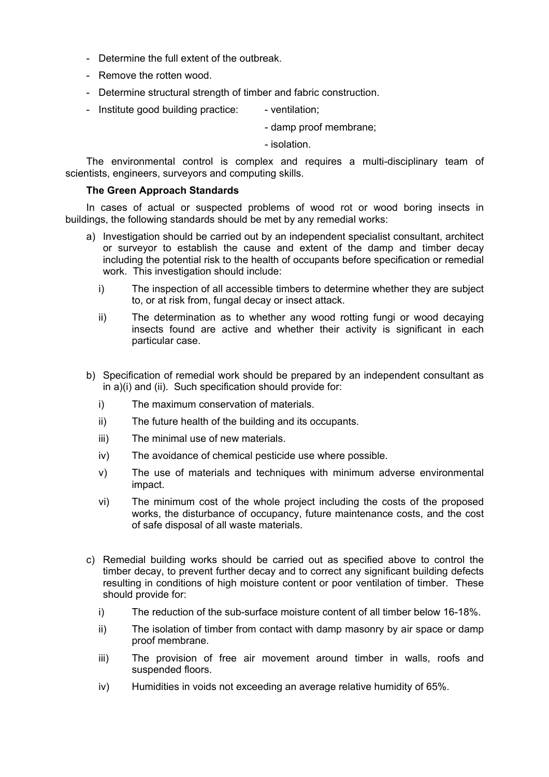- Determine the full extent of the outbreak.
- Remove the rotten wood.
- Determine structural strength of timber and fabric construction.
- Institute good building practice: ventilation;

- damp proof membrane;

- isolation.

The environmental control is complex and requires a multi-disciplinary team of scientists, engineers, surveyors and computing skills.

#### **The Green Approach Standards**

In cases of actual or suspected problems of wood rot or wood boring insects in buildings, the following standards should be met by any remedial works:

- a) Investigation should be carried out by an independent specialist consultant, architect or surveyor to establish the cause and extent of the damp and timber decay including the potential risk to the health of occupants before specification or remedial work. This investigation should include:
	- i) The inspection of all accessible timbers to determine whether they are subject to, or at risk from, fungal decay or insect attack.
	- ii) The determination as to whether any wood rotting fungi or wood decaying insects found are active and whether their activity is significant in each particular case.
- b) Specification of remedial work should be prepared by an independent consultant as in a)(i) and (ii). Such specification should provide for:
	- i) The maximum conservation of materials.
	- ii) The future health of the building and its occupants.
	- iii) The minimal use of new materials.
	- iv) The avoidance of chemical pesticide use where possible.
	- v) The use of materials and techniques with minimum adverse environmental impact.
	- vi) The minimum cost of the whole project including the costs of the proposed works, the disturbance of occupancy, future maintenance costs, and the cost of safe disposal of all waste materials.
- c) Remedial building works should be carried out as specified above to control the timber decay, to prevent further decay and to correct any significant building defects resulting in conditions of high moisture content or poor ventilation of timber. These should provide for:
	- i) The reduction of the sub-surface moisture content of all timber below 16-18%.
	- ii) The isolation of timber from contact with damp masonry by air space or damp proof membrane.
	- iii) The provision of free air movement around timber in walls, roofs and suspended floors.
	- iv) Humidities in voids not exceeding an average relative humidity of 65%.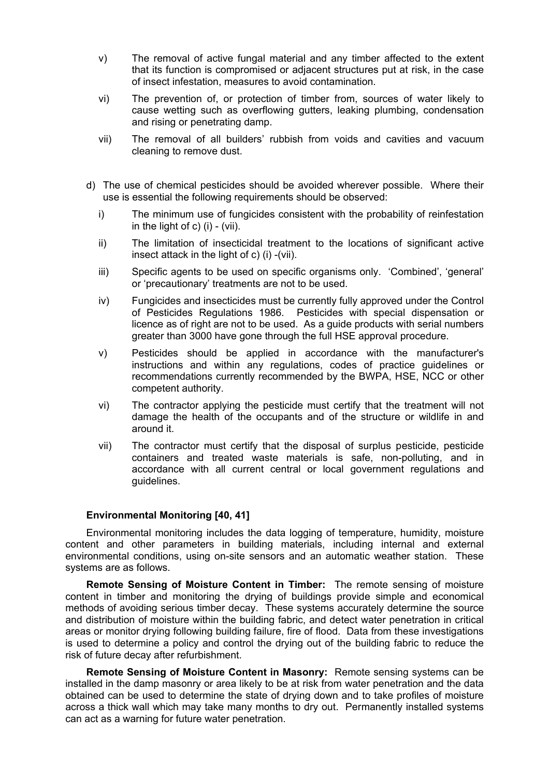- v) The removal of active fungal material and any timber affected to the extent that its function is compromised or adjacent structures put at risk, in the case of insect infestation, measures to avoid contamination.
- vi) The prevention of, or protection of timber from, sources of water likely to cause wetting such as overflowing gutters, leaking plumbing, condensation and rising or penetrating damp.
- vii) The removal of all builders' rubbish from voids and cavities and vacuum cleaning to remove dust.
- d) The use of chemical pesticides should be avoided wherever possible. Where their use is essential the following requirements should be observed:
	- i) The minimum use of fungicides consistent with the probability of reinfestation in the light of c)  $(i)$  -  $(vii)$ .
	- ii) The limitation of insecticidal treatment to the locations of significant active insect attack in the light of c) (i) -(vii).
	- iii) Specific agents to be used on specific organisms only. 'Combined', 'general' or 'precautionary' treatments are not to be used.
	- iv) Fungicides and insecticides must be currently fully approved under the Control of Pesticides Regulations 1986. Pesticides with special dispensation or licence as of right are not to be used. As a guide products with serial numbers greater than 3000 have gone through the full HSE approval procedure.
	- v) Pesticides should be applied in accordance with the manufacturer's instructions and within any regulations, codes of practice guidelines or recommendations currently recommended by the BWPA, HSE, NCC or other competent authority.
	- vi) The contractor applying the pesticide must certify that the treatment will not damage the health of the occupants and of the structure or wildlife in and around it.
	- vii) The contractor must certify that the disposal of surplus pesticide, pesticide containers and treated waste materials is safe, non-polluting, and in accordance with all current central or local government regulations and guidelines.

#### **Environmental Monitoring [40, 41]**

Environmental monitoring includes the data logging of temperature, humidity, moisture content and other parameters in building materials, including internal and external environmental conditions, using on-site sensors and an automatic weather station. These systems are as follows.

**Remote Sensing of Moisture Content in Timber:** The remote sensing of moisture content in timber and monitoring the drying of buildings provide simple and economical methods of avoiding serious timber decay. These systems accurately determine the source and distribution of moisture within the building fabric, and detect water penetration in critical areas or monitor drying following building failure, fire of flood. Data from these investigations is used to determine a policy and control the drying out of the building fabric to reduce the risk of future decay after refurbishment.

**Remote Sensing of Moisture Content in Masonry:** Remote sensing systems can be installed in the damp masonry or area likely to be at risk from water penetration and the data obtained can be used to determine the state of drying down and to take profiles of moisture across a thick wall which may take many months to dry out. Permanently installed systems can act as a warning for future water penetration.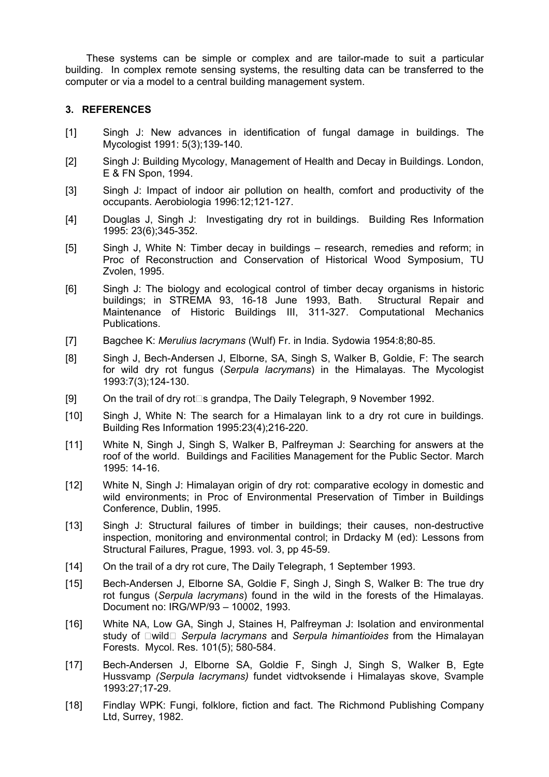These systems can be simple or complex and are tailor-made to suit a particular building. In complex remote sensing systems, the resulting data can be transferred to the computer or via a model to a central building management system.

# **3. REFERENCES**

- [1] Singh J: New advances in identification of fungal damage in buildings. The Mycologist 1991: 5(3);139-140.
- [2] Singh J: Building Mycology, Management of Health and Decay in Buildings. London, E & FN Spon, 1994.
- [3] Singh J: Impact of indoor air pollution on health, comfort and productivity of the occupants. Aerobiologia 1996:12;121-127.
- [4] Douglas J, Singh J: Investigating dry rot in buildings. Building Res Information 1995: 23(6);345-352.
- [5] Singh J, White N: Timber decay in buildings research, remedies and reform; in Proc of Reconstruction and Conservation of Historical Wood Symposium, TU Zvolen, 1995.
- [6] Singh J: The biology and ecological control of timber decay organisms in historic buildings; in STREMA 93, 16-18 June 1993, Bath. Structural Repair and Maintenance of Historic Buildings III, 311-327. Computational Mechanics Publications.
- [7] Bagchee K: *Merulius lacrymans* (Wulf) Fr. in India. Sydowia 1954:8;80-85.
- [8] Singh J, Bech-Andersen J, Elborne, SA, Singh S, Walker B, Goldie, F: The search for wild dry rot fungus (*Serpula lacrymans*) in the Himalayas. The Mycologist 1993:7(3);124-130.
- [9] On the trail of dry rot $\square$ s grandpa, The Daily Telegraph, 9 November 1992.
- [10] Singh J, White N: The search for a Himalayan link to a dry rot cure in buildings. Building Res Information 1995:23(4);216-220.
- [11] White N, Singh J, Singh S, Walker B, Palfreyman J: Searching for answers at the roof of the world. Buildings and Facilities Management for the Public Sector. March 1995: 14-16.
- [12] White N, Singh J: Himalayan origin of dry rot: comparative ecology in domestic and wild environments; in Proc of Environmental Preservation of Timber in Buildings Conference, Dublin, 1995.
- [13] Singh J: Structural failures of timber in buildings; their causes, non-destructive inspection, monitoring and environmental control; in Drdacky M (ed): Lessons from Structural Failures, Prague, 1993. vol. 3, pp 45-59.
- [14] On the trail of a dry rot cure, The Daily Telegraph, 1 September 1993.
- [15] Bech-Andersen J, Elborne SA, Goldie F, Singh J, Singh S, Walker B: The true dry rot fungus (*Serpula lacrymans*) found in the wild in the forests of the Himalayas. Document no: IRG/WP/93 – 10002, 1993.
- [16] White NA, Low GA, Singh J, Staines H, Palfreyman J: Isolation and environmental study of  $\Box$ wild  $\Box$  *Serpula lacrymans* and *Serpula himantioides* from the Himalayan Forests. Mycol. Res. 101(5); 580-584.
- [17] Bech-Andersen J, Elborne SA, Goldie F, Singh J, Singh S, Walker B, Egte Hussvamp *(Serpula lacrymans)* fundet vidtvoksende i Himalayas skove, Svample 1993:27;17-29.
- [18] Findlay WPK: Fungi, folklore, fiction and fact. The Richmond Publishing Company Ltd, Surrey, 1982.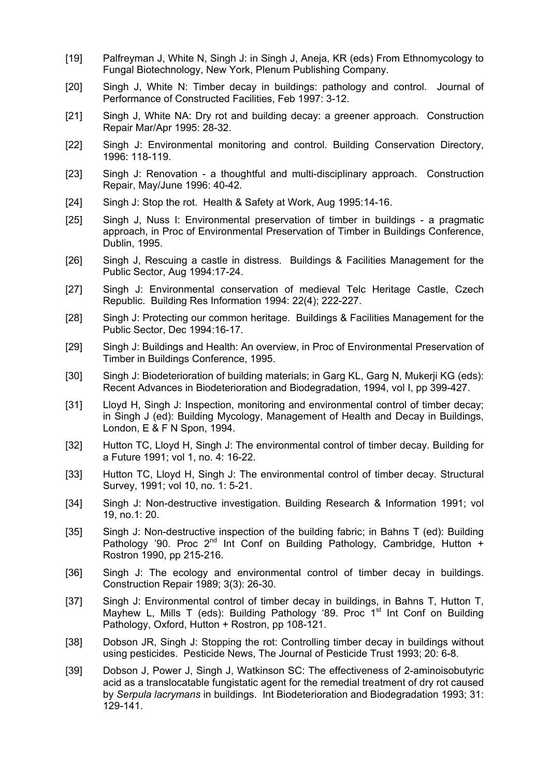- [19] Palfreyman J, White N, Singh J: in Singh J, Aneja, KR (eds) From Ethnomycology to Fungal Biotechnology, New York, Plenum Publishing Company.
- [20] Singh J, White N: Timber decay in buildings: pathology and control. Journal of Performance of Constructed Facilities, Feb 1997: 3-12.
- [21] Singh J, White NA: Dry rot and building decay: a greener approach. Construction Repair Mar/Apr 1995: 28-32.
- [22] Singh J: Environmental monitoring and control. Building Conservation Directory, 1996: 118-119.
- [23] Singh J: Renovation a thoughtful and multi-disciplinary approach. Construction Repair, May/June 1996: 40-42.
- [24] Singh J: Stop the rot. Health & Safety at Work, Aug 1995:14-16.
- [25] Singh J, Nuss I: Environmental preservation of timber in buildings a pragmatic approach, in Proc of Environmental Preservation of Timber in Buildings Conference, Dublin, 1995.
- [26] Singh J, Rescuing a castle in distress. Buildings & Facilities Management for the Public Sector, Aug 1994:17-24.
- [27] Singh J: Environmental conservation of medieval Telc Heritage Castle, Czech Republic. Building Res Information 1994: 22(4); 222-227.
- [28] Singh J: Protecting our common heritage. Buildings & Facilities Management for the Public Sector, Dec 1994:16-17.
- [29] Singh J: Buildings and Health: An overview, in Proc of Environmental Preservation of Timber in Buildings Conference, 1995.
- [30] Singh J: Biodeterioration of building materials; in Garg KL, Garg N, Mukerji KG (eds): Recent Advances in Biodeterioration and Biodegradation, 1994, vol I, pp 399-427.
- [31] Lloyd H, Singh J: Inspection, monitoring and environmental control of timber decay; in Singh J (ed): Building Mycology, Management of Health and Decay in Buildings, London, E & F N Spon, 1994.
- [32] Hutton TC, Lloyd H, Singh J: The environmental control of timber decay. Building for a Future 1991; vol 1, no. 4: 16-22.
- [33] Hutton TC, Lloyd H, Singh J: The environmental control of timber decay. Structural Survey, 1991; vol 10, no. 1: 5-21.
- [34] Singh J: Non-destructive investigation. Building Research & Information 1991; vol 19, no.1: 20.
- [35] Singh J: Non-destructive inspection of the building fabric; in Bahns T (ed): Building Pathology '90. Proc  $2^{nd}$  Int Conf on Building Pathology, Cambridge, Hutton  $\frac{3}{4}$ Rostron 1990, pp 215-216.
- [36] Singh J: The ecology and environmental control of timber decay in buildings. Construction Repair 1989; 3(3): 26-30.
- [37] Singh J: Environmental control of timber decay in buildings, in Bahns T, Hutton T, Mayhew L, Mills T (eds): Building Pathology '89. Proc 1<sup>st</sup> Int Conf on Building Pathology, Oxford, Hutton + Rostron, pp 108-121.
- [38] Dobson JR, Singh J: Stopping the rot: Controlling timber decay in buildings without using pesticides. Pesticide News, The Journal of Pesticide Trust 1993; 20: 6-8.
- [39] Dobson J, Power J, Singh J, Watkinson SC: The effectiveness of 2-aminoisobutyric acid as a translocatable fungistatic agent for the remedial treatment of dry rot caused by *Serpula lacrymans* in buildings. Int Biodeterioration and Biodegradation 1993; 31: 129-141.